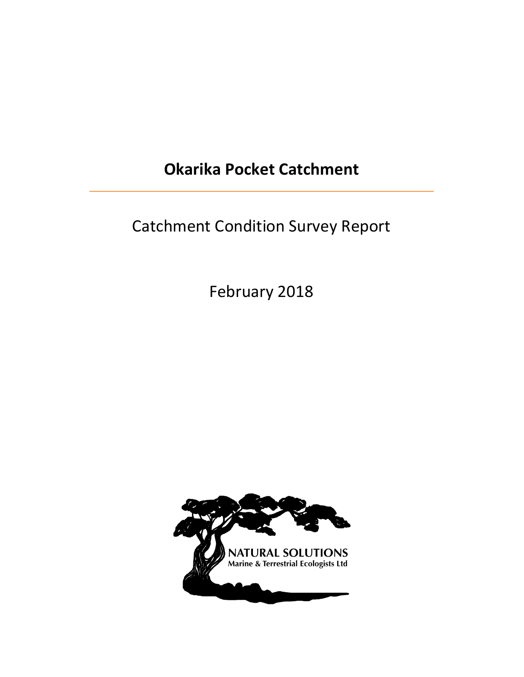# **Okarika Pocket Catchment**

# Catchment Condition Survey Report

February 2018

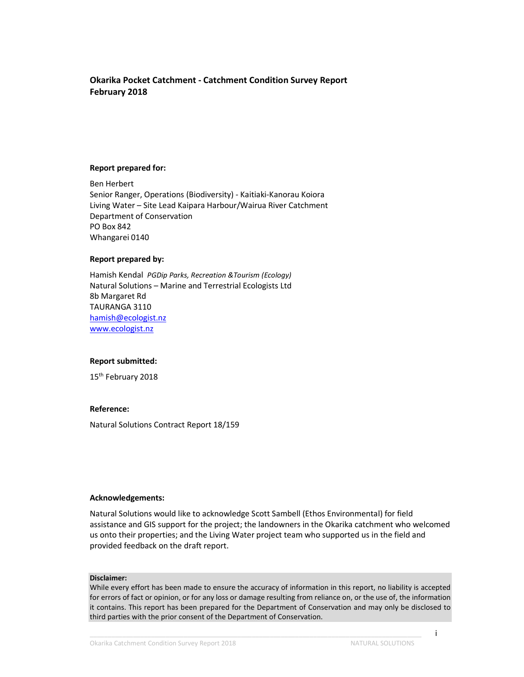### **Okarika Pocket Catchment - Catchment Condition Survey Report February 2018**

#### **Report prepared for:**

Ben Herbert Senior Ranger, Operations (Biodiversity) - Kaitiaki-Kanorau Koiora Living Water – Site Lead Kaipara Harbour/Wairua River Catchment Department of Conservation PO Box 842 Whangarei 0140

#### **Report prepared by:**

Hamish Kendal *PGDip Parks, Recreation &Tourism (Ecology)*  Natural Solutions – Marine and Terrestrial Ecologists Ltd 8b Margaret Rd TAURANGA 3110 hamish@ecologist.nz www.ecologist.nz

#### **Report submitted:**

15<sup>th</sup> February 2018

#### **Reference:**

Natural Solutions Contract Report 18/159

#### **Acknowledgements:**

Natural Solutions would like to acknowledge Scott Sambell (Ethos Environmental) for field assistance and GIS support for the project; the landowners in the Okarika catchment who welcomed us onto their properties; and the Living Water project team who supported us in the field and provided feedback on the draft report.

#### **Disclaimer:**

While every effort has been made to ensure the accuracy of information in this report, no liability is accepted for errors of fact or opinion, or for any loss or damage resulting from reliance on, or the use of, the information it contains. This report has been prepared for the Department of Conservation and may only be disclosed to third parties with the prior consent of the Department of Conservation.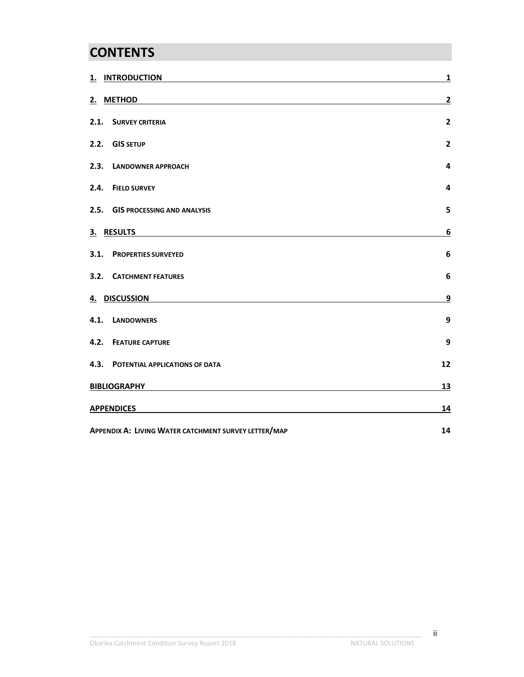# **CONTENTS**

|                                                      | 1. INTRODUCTION                     | $\mathbf{1}$   |  |
|------------------------------------------------------|-------------------------------------|----------------|--|
|                                                      | 2. METHOD                           | $\overline{2}$ |  |
| 2.1.                                                 | <b>SURVEY CRITERIA</b>              | $\overline{2}$ |  |
|                                                      | 2.2. GIS SETUP                      | $\overline{2}$ |  |
| 2.3.                                                 | <b>LANDOWNER APPROACH</b>           | 4              |  |
| 2.4.                                                 | <b>FIELD SURVEY</b>                 | 4              |  |
| 2.5.                                                 | <b>GIS PROCESSING AND ANALYSIS</b>  | 5              |  |
|                                                      | 3. RESULTS                          | 6              |  |
| 3.1.                                                 | <b>PROPERTIES SURVEYED</b>          | 6              |  |
|                                                      | <b>3.2. CATCHMENT FEATURES</b>      | 6              |  |
|                                                      | 4. DISCUSSION                       | 9              |  |
| 4.1.                                                 | <b>LANDOWNERS</b>                   | 9              |  |
|                                                      | <b>4.2. FEATURE CAPTURE</b>         | 9              |  |
|                                                      | 4.3. POTENTIAL APPLICATIONS OF DATA | 12             |  |
| <b>BIBLIOGRAPHY</b>                                  |                                     | <u>13</u>      |  |
|                                                      | <b>APPENDICES</b>                   |                |  |
| APPENDIX A: LIVING WATER CATCHMENT SURVEY LETTER/MAP | 14                                  |                |  |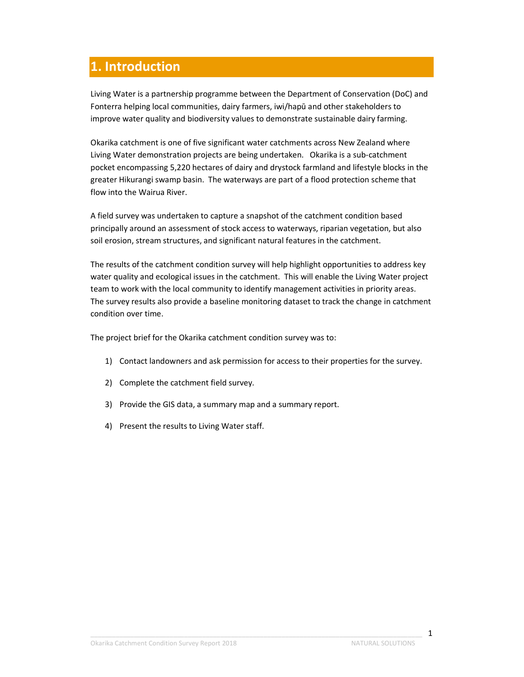# **1. Introduction**

Living Water is a partnership programme between the Department of Conservation (DoC) and Fonterra helping local communities, dairy farmers, iwi/hapū and other stakeholders to improve water quality and biodiversity values to demonstrate sustainable dairy farming.

Okarika catchment is one of five significant water catchments across New Zealand where Living Water demonstration projects are being undertaken. Okarika is a sub-catchment pocket encompassing 5,220 hectares of dairy and drystock farmland and lifestyle blocks in the greater Hikurangi swamp basin. The waterways are part of a flood protection scheme that flow into the Wairua River.

A field survey was undertaken to capture a snapshot of the catchment condition based principally around an assessment of stock access to waterways, riparian vegetation, but also soil erosion, stream structures, and significant natural features in the catchment.

The results of the catchment condition survey will help highlight opportunities to address key water quality and ecological issues in the catchment. This will enable the Living Water project team to work with the local community to identify management activities in priority areas. The survey results also provide a baseline monitoring dataset to track the change in catchment condition over time.

The project brief for the Okarika catchment condition survey was to:

- 1) Contact landowners and ask permission for access to their properties for the survey.
- 2) Complete the catchment field survey.
- 3) Provide the GIS data, a summary map and a summary report.
- 4) Present the results to Living Water staff.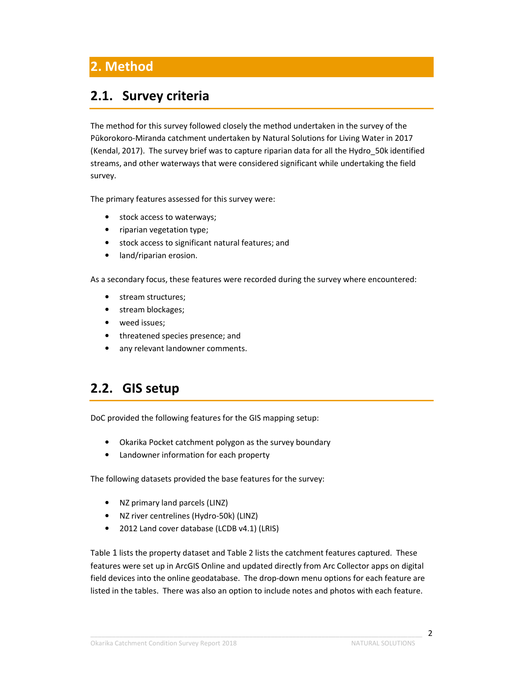# **2.1. Survey criteria**

The method for this survey followed closely the method undertaken in the survey of the Pūkorokoro-Miranda catchment undertaken by Natural Solutions for Living Water in 2017 (Kendal, 2017). The survey brief was to capture riparian data for all the Hydro\_50k identified streams, and other waterways that were considered significant while undertaking the field survey.

The primary features assessed for this survey were:

- stock access to waterways;
- riparian vegetation type;
- stock access to significant natural features; and
- land/riparian erosion.

As a secondary focus, these features were recorded during the survey where encountered:

- stream structures;
- stream blockages;
- weed issues;
- threatened species presence; and
- any relevant landowner comments.

### **2.2. GIS setup**

DoC provided the following features for the GIS mapping setup:

- Okarika Pocket catchment polygon as the survey boundary
- Landowner information for each property

The following datasets provided the base features for the survey:

- NZ primary land parcels (LINZ)
- NZ river centrelines (Hydro-50k) (LINZ)
- 2012 Land cover database (LCDB v4.1) (LRIS)

Table 1 lists the property dataset and Table 2 lists the catchment features captured. These features were set up in ArcGIS Online and updated directly from Arc Collector apps on digital field devices into the online geodatabase. The drop-down menu options for each feature are listed in the tables. There was also an option to include notes and photos with each feature.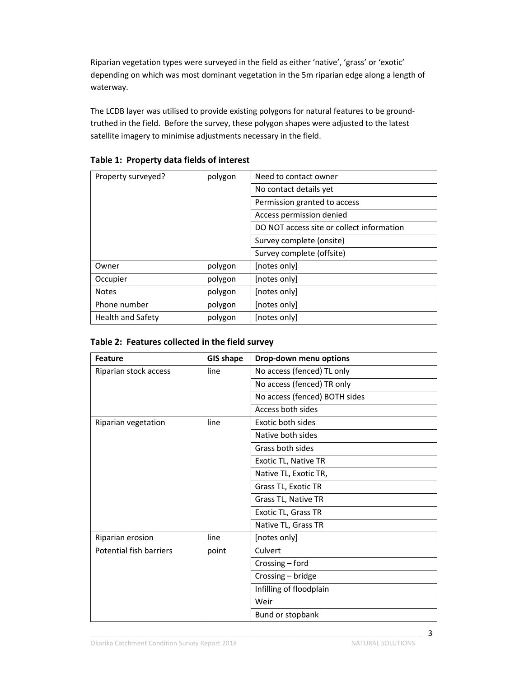Riparian vegetation types were surveyed in the field as either 'native', 'grass' or 'exotic' depending on which was most dominant vegetation in the 5m riparian edge along a length of waterway.

The LCDB layer was utilised to provide existing polygons for natural features to be groundtruthed in the field. Before the survey, these polygon shapes were adjusted to the latest satellite imagery to minimise adjustments necessary in the field.

| Property surveyed?<br>polygon |         | Need to contact owner                     |  |  |
|-------------------------------|---------|-------------------------------------------|--|--|
|                               |         | No contact details yet                    |  |  |
|                               |         | Permission granted to access              |  |  |
|                               |         | Access permission denied                  |  |  |
|                               |         | DO NOT access site or collect information |  |  |
|                               |         | Survey complete (onsite)                  |  |  |
|                               |         | Survey complete (offsite)                 |  |  |
| Owner                         | polygon | [notes only]                              |  |  |
| Occupier                      | polygon | [notes only]                              |  |  |
| <b>Notes</b>                  | polygon | [notes only]                              |  |  |
| Phone number                  | polygon | [notes only]                              |  |  |
| Health and Safety             | polygon | [notes only]                              |  |  |

### **Table 1: Property data fields of interest**

|  | Table 2: Features collected in the field survey |  |  |  |  |
|--|-------------------------------------------------|--|--|--|--|
|--|-------------------------------------------------|--|--|--|--|

| <b>Feature</b>                   | <b>GIS shape</b> | Drop-down menu options        |  |  |
|----------------------------------|------------------|-------------------------------|--|--|
| Riparian stock access            | line             | No access (fenced) TL only    |  |  |
|                                  |                  | No access (fenced) TR only    |  |  |
|                                  |                  | No access (fenced) BOTH sides |  |  |
|                                  |                  | Access both sides             |  |  |
| Riparian vegetation              | line             | Exotic both sides             |  |  |
|                                  |                  | Native both sides             |  |  |
|                                  |                  | Grass both sides              |  |  |
|                                  |                  | Exotic TL, Native TR          |  |  |
|                                  |                  | Native TL, Exotic TR,         |  |  |
|                                  |                  | Grass TL, Exotic TR           |  |  |
|                                  |                  | Grass TL, Native TR           |  |  |
|                                  |                  | Exotic TL, Grass TR           |  |  |
|                                  |                  | Native TL, Grass TR           |  |  |
| Riparian erosion                 | line             | [notes only]                  |  |  |
| Potential fish barriers<br>point |                  | Culvert                       |  |  |
|                                  |                  | Crossing - ford               |  |  |
|                                  |                  | Crossing - bridge             |  |  |
|                                  |                  | Infilling of floodplain       |  |  |
|                                  |                  | Weir                          |  |  |
|                                  |                  | Bund or stopbank              |  |  |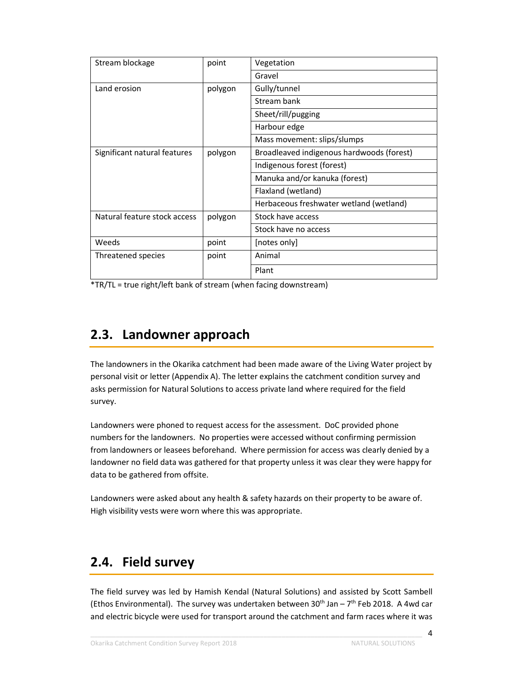| Stream blockage                         | point   | Vegetation                                |  |  |
|-----------------------------------------|---------|-------------------------------------------|--|--|
|                                         |         | Gravel                                    |  |  |
| Land erosion                            | polygon | Gully/tunnel                              |  |  |
|                                         |         | Stream bank                               |  |  |
|                                         |         | Sheet/rill/pugging                        |  |  |
|                                         |         | Harbour edge                              |  |  |
|                                         |         | Mass movement: slips/slumps               |  |  |
| Significant natural features<br>polygon |         | Broadleaved indigenous hardwoods (forest) |  |  |
|                                         |         | Indigenous forest (forest)                |  |  |
|                                         |         | Manuka and/or kanuka (forest)             |  |  |
|                                         |         | Flaxland (wetland)                        |  |  |
|                                         |         | Herbaceous freshwater wetland (wetland)   |  |  |
| Natural feature stock access            | polygon | Stock have access                         |  |  |
|                                         |         | Stock have no access                      |  |  |
| Weeds                                   | point   | [notes only]                              |  |  |
| Threatened species                      | point   | Animal                                    |  |  |
|                                         |         | Plant                                     |  |  |

\*TR/TL = true right/left bank of stream (when facing downstream)

# **2.3. Landowner approach**

The landowners in the Okarika catchment had been made aware of the Living Water project by personal visit or letter (Appendix A). The letter explains the catchment condition survey and asks permission for Natural Solutions to access private land where required for the field survey.

Landowners were phoned to request access for the assessment. DoC provided phone numbers for the landowners. No properties were accessed without confirming permission from landowners or leasees beforehand. Where permission for access was clearly denied by a landowner no field data was gathered for that property unless it was clear they were happy for data to be gathered from offsite.

Landowners were asked about any health & safety hazards on their property to be aware of. High visibility vests were worn where this was appropriate.

# **2.4. Field survey**

The field survey was led by Hamish Kendal (Natural Solutions) and assisted by Scott Sambell (Ethos Environmental). The survey was undertaken between 30<sup>th</sup> Jan - 7<sup>th</sup> Feb 2018. A 4wd car and electric bicycle were used for transport around the catchment and farm races where it was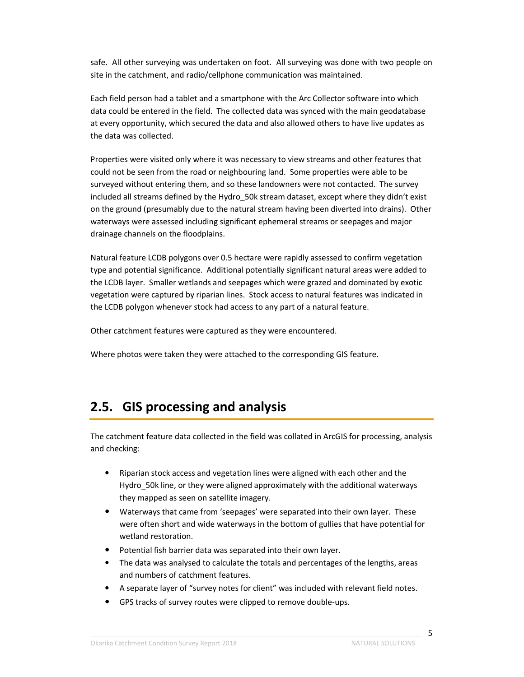safe. All other surveying was undertaken on foot. All surveying was done with two people on site in the catchment, and radio/cellphone communication was maintained.

Each field person had a tablet and a smartphone with the Arc Collector software into which data could be entered in the field. The collected data was synced with the main geodatabase at every opportunity, which secured the data and also allowed others to have live updates as the data was collected.

Properties were visited only where it was necessary to view streams and other features that could not be seen from the road or neighbouring land. Some properties were able to be surveyed without entering them, and so these landowners were not contacted. The survey included all streams defined by the Hydro\_50k stream dataset, except where they didn't exist on the ground (presumably due to the natural stream having been diverted into drains). Other waterways were assessed including significant ephemeral streams or seepages and major drainage channels on the floodplains.

Natural feature LCDB polygons over 0.5 hectare were rapidly assessed to confirm vegetation type and potential significance. Additional potentially significant natural areas were added to the LCDB layer. Smaller wetlands and seepages which were grazed and dominated by exotic vegetation were captured by riparian lines. Stock access to natural features was indicated in the LCDB polygon whenever stock had access to any part of a natural feature.

Other catchment features were captured as they were encountered.

Where photos were taken they were attached to the corresponding GIS feature.

### **2.5. GIS processing and analysis**

The catchment feature data collected in the field was collated in ArcGIS for processing, analysis and checking:

- Riparian stock access and vegetation lines were aligned with each other and the Hydro 50k line, or they were aligned approximately with the additional waterways they mapped as seen on satellite imagery.
- Waterways that came from 'seepages' were separated into their own layer. These were often short and wide waterways in the bottom of gullies that have potential for wetland restoration.
- Potential fish barrier data was separated into their own layer.
- The data was analysed to calculate the totals and percentages of the lengths, areas and numbers of catchment features.
- A separate layer of "survey notes for client" was included with relevant field notes.
- GPS tracks of survey routes were clipped to remove double-ups.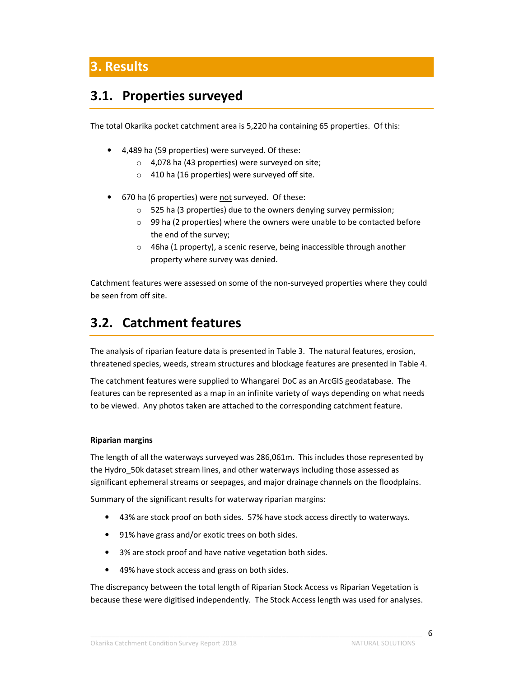## **3.1. Properties surveyed**

The total Okarika pocket catchment area is 5,220 ha containing 65 properties. Of this:

- 4,489 ha (59 properties) were surveyed. Of these:
	- $\circ$  4,078 ha (43 properties) were surveyed on site;
	- o 410 ha (16 properties) were surveyed off site.
- 670 ha (6 properties) were not surveyed. Of these:
	- o 525 ha (3 properties) due to the owners denying survey permission;
	- $\circ$  99 ha (2 properties) where the owners were unable to be contacted before the end of the survey;
	- o 46ha (1 property), a scenic reserve, being inaccessible through another property where survey was denied.

Catchment features were assessed on some of the non-surveyed properties where they could be seen from off site.

# **3.2. Catchment features**

The analysis of riparian feature data is presented in Table 3. The natural features, erosion, threatened species, weeds, stream structures and blockage features are presented in Table 4.

The catchment features were supplied to Whangarei DoC as an ArcGIS geodatabase. The features can be represented as a map in an infinite variety of ways depending on what needs to be viewed. Any photos taken are attached to the corresponding catchment feature.

### **Riparian margins**

The length of all the waterways surveyed was 286,061m. This includes those represented by the Hydro\_50k dataset stream lines, and other waterways including those assessed as significant ephemeral streams or seepages, and major drainage channels on the floodplains.

Summary of the significant results for waterway riparian margins:

- 43% are stock proof on both sides. 57% have stock access directly to waterways.
- 91% have grass and/or exotic trees on both sides.
- 3% are stock proof and have native vegetation both sides.
- 49% have stock access and grass on both sides.

The discrepancy between the total length of Riparian Stock Access vs Riparian Vegetation is because these were digitised independently. The Stock Access length was used for analyses.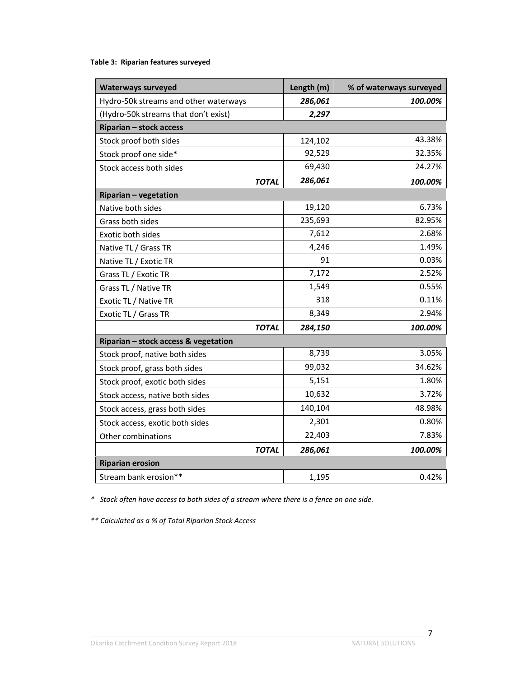### **Table 3: Riparian features surveyed**

| <b>Waterways surveyed</b>             | Length (m) | % of waterways surveyed |
|---------------------------------------|------------|-------------------------|
| Hydro-50k streams and other waterways | 286,061    | 100.00%                 |
| (Hydro-50k streams that don't exist)  | 2,297      |                         |
| Riparian - stock access               |            |                         |
| Stock proof both sides                | 124,102    | 43.38%                  |
| Stock proof one side*                 | 92,529     | 32.35%                  |
| Stock access both sides               | 69,430     | 24.27%                  |
| <b>TOTAL</b>                          | 286,061    | 100.00%                 |
| <b>Riparian - vegetation</b>          |            |                         |
| Native both sides                     | 19,120     | 6.73%                   |
| Grass both sides                      | 235,693    | 82.95%                  |
| Exotic both sides                     | 7,612      | 2.68%                   |
| Native TL / Grass TR                  | 4,246      | 1.49%                   |
| Native TL / Exotic TR                 | 91         | 0.03%                   |
| Grass TL / Exotic TR                  | 7,172      | 2.52%                   |
| Grass TL / Native TR                  | 1,549      | 0.55%                   |
| Exotic TL / Native TR                 | 318        | 0.11%                   |
| Exotic TL / Grass TR                  | 8,349      | 2.94%                   |
| <b>TOTAL</b>                          | 284,150    | 100.00%                 |
| Riparian - stock access & vegetation  |            |                         |
| Stock proof, native both sides        | 8,739      | 3.05%                   |
| Stock proof, grass both sides         | 99,032     | 34.62%                  |
| Stock proof, exotic both sides        | 5,151      | 1.80%                   |
| Stock access, native both sides       | 10,632     | 3.72%                   |
| Stock access, grass both sides        | 140,104    | 48.98%                  |
| Stock access, exotic both sides       | 2,301      | 0.80%                   |
| Other combinations                    | 22,403     | 7.83%                   |
| <b>TOTAL</b>                          | 286,061    | 100.00%                 |
| <b>Riparian erosion</b>               |            |                         |
| Stream bank erosion**                 | 1,195      | 0.42%                   |

*\* Stock often have access to both sides of a stream where there is a fence on one side.* 

*\*\* Calculated as a % of Total Riparian Stock Access*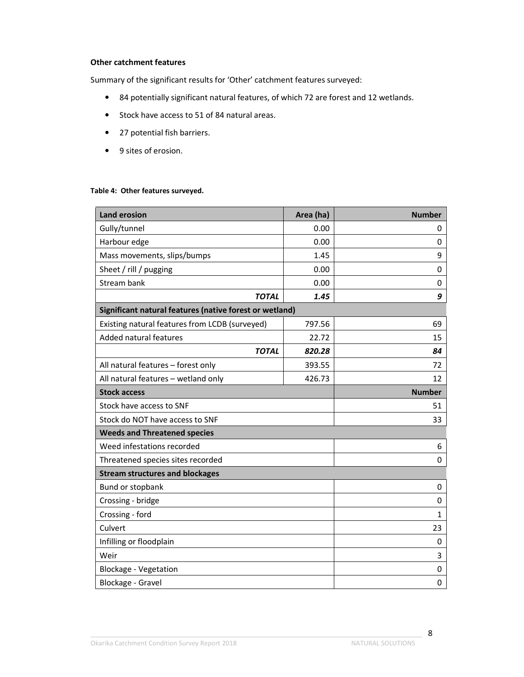### **Other catchment features**

Summary of the significant results for 'Other' catchment features surveyed:

- 84 potentially significant natural features, of which 72 are forest and 12 wetlands.
- Stock have access to 51 of 84 natural areas.
- 27 potential fish barriers.
- 9 sites of erosion.

#### **Table 4: Other features surveyed.**

| <b>Land erosion</b>                                     | Area (ha) | <b>Number</b> |  |  |
|---------------------------------------------------------|-----------|---------------|--|--|
| Gully/tunnel                                            | 0.00      | 0             |  |  |
| Harbour edge                                            | 0.00      | 0             |  |  |
| Mass movements, slips/bumps                             | 1.45      | 9             |  |  |
| Sheet / rill / pugging                                  | 0.00      | 0             |  |  |
| Stream bank                                             | 0.00      | 0             |  |  |
| <b>TOTAL</b>                                            | 1.45      | 9             |  |  |
| Significant natural features (native forest or wetland) |           |               |  |  |
| Existing natural features from LCDB (surveyed)          | 797.56    | 69            |  |  |
| Added natural features                                  | 22.72     | 15            |  |  |
| <b>TOTAL</b>                                            | 820.28    | 84            |  |  |
| All natural features - forest only                      | 393.55    | 72            |  |  |
| All natural features - wetland only                     | 426.73    | 12            |  |  |
| <b>Stock access</b>                                     |           | <b>Number</b> |  |  |
| Stock have access to SNF                                |           | 51            |  |  |
| Stock do NOT have access to SNF                         |           | 33            |  |  |
| <b>Weeds and Threatened species</b>                     |           |               |  |  |
| Weed infestations recorded                              |           | 6             |  |  |
| Threatened species sites recorded                       |           | 0             |  |  |
| <b>Stream structures and blockages</b>                  |           |               |  |  |
| Bund or stopbank                                        |           | 0             |  |  |
| Crossing - bridge                                       | 0         |               |  |  |
| Crossing - ford                                         | 1         |               |  |  |
| Culvert                                                 | 23        |               |  |  |
| Infilling or floodplain                                 |           | 0             |  |  |
| Weir                                                    |           | 3             |  |  |
| Blockage - Vegetation                                   |           | 0             |  |  |
| Blockage - Gravel                                       |           | 0             |  |  |

\_\_\_\_\_\_\_\_\_\_\_\_\_\_\_\_\_\_\_\_\_\_\_\_\_\_\_\_\_\_\_\_\_\_\_\_\_\_\_\_\_\_\_\_\_\_\_\_\_\_\_\_\_\_\_\_\_\_\_\_\_\_\_\_\_\_\_\_\_\_\_\_\_\_\_\_\_\_\_\_\_\_\_\_\_\_\_\_\_\_\_\_ 8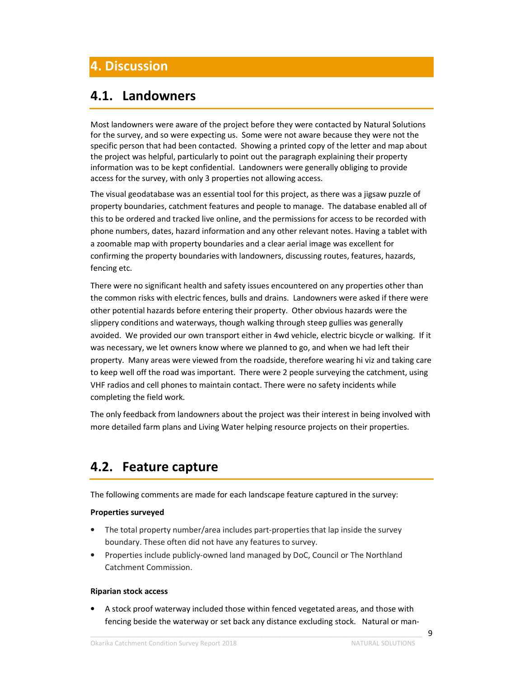# **4. Discussion**

### **4.1. Landowners**

Most landowners were aware of the project before they were contacted by Natural Solutions for the survey, and so were expecting us. Some were not aware because they were not the specific person that had been contacted. Showing a printed copy of the letter and map about the project was helpful, particularly to point out the paragraph explaining their property information was to be kept confidential. Landowners were generally obliging to provide access for the survey, with only 3 properties not allowing access.

The visual geodatabase was an essential tool for this project, as there was a jigsaw puzzle of property boundaries, catchment features and people to manage. The database enabled all of this to be ordered and tracked live online, and the permissions for access to be recorded with phone numbers, dates, hazard information and any other relevant notes. Having a tablet with a zoomable map with property boundaries and a clear aerial image was excellent for confirming the property boundaries with landowners, discussing routes, features, hazards, fencing etc.

There were no significant health and safety issues encountered on any properties other than the common risks with electric fences, bulls and drains. Landowners were asked if there were other potential hazards before entering their property. Other obvious hazards were the slippery conditions and waterways, though walking through steep gullies was generally avoided. We provided our own transport either in 4wd vehicle, electric bicycle or walking. If it was necessary, we let owners know where we planned to go, and when we had left their property. Many areas were viewed from the roadside, therefore wearing hi viz and taking care to keep well off the road was important. There were 2 people surveying the catchment, using VHF radios and cell phones to maintain contact. There were no safety incidents while completing the field work.

The only feedback from landowners about the project was their interest in being involved with more detailed farm plans and Living Water helping resource projects on their properties.

### **4.2. Feature capture**

The following comments are made for each landscape feature captured in the survey:

### **Properties surveyed**

- The total property number/area includes part-properties that lap inside the survey boundary. These often did not have any features to survey.
- Properties include publicly-owned land managed by DoC, Council or The Northland Catchment Commission.

#### **Riparian stock access**

• A stock proof waterway included those within fenced vegetated areas, and those with fencing beside the waterway or set back any distance excluding stock. Natural or man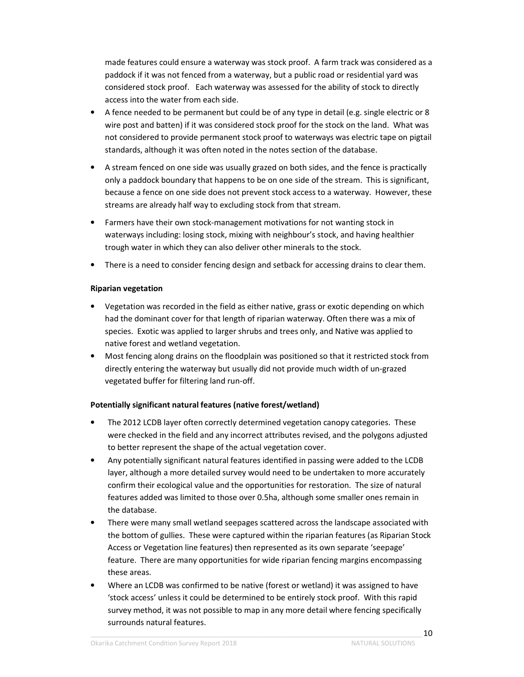made features could ensure a waterway was stock proof. A farm track was considered as a paddock if it was not fenced from a waterway, but a public road or residential yard was considered stock proof. Each waterway was assessed for the ability of stock to directly access into the water from each side.

- A fence needed to be permanent but could be of any type in detail (e.g. single electric or 8 wire post and batten) if it was considered stock proof for the stock on the land. What was not considered to provide permanent stock proof to waterways was electric tape on pigtail standards, although it was often noted in the notes section of the database.
- A stream fenced on one side was usually grazed on both sides, and the fence is practically only a paddock boundary that happens to be on one side of the stream. This is significant, because a fence on one side does not prevent stock access to a waterway. However, these streams are already half way to excluding stock from that stream.
- Farmers have their own stock-management motivations for not wanting stock in waterways including: losing stock, mixing with neighbour's stock, and having healthier trough water in which they can also deliver other minerals to the stock.
- There is a need to consider fencing design and setback for accessing drains to clear them.

### **Riparian vegetation**

- Vegetation was recorded in the field as either native, grass or exotic depending on which had the dominant cover for that length of riparian waterway. Often there was a mix of species. Exotic was applied to larger shrubs and trees only, and Native was applied to native forest and wetland vegetation.
- Most fencing along drains on the floodplain was positioned so that it restricted stock from directly entering the waterway but usually did not provide much width of un-grazed vegetated buffer for filtering land run-off.

### **Potentially significant natural features (native forest/wetland)**

- The 2012 LCDB layer often correctly determined vegetation canopy categories. These were checked in the field and any incorrect attributes revised, and the polygons adjusted to better represent the shape of the actual vegetation cover.
- Any potentially significant natural features identified in passing were added to the LCDB layer, although a more detailed survey would need to be undertaken to more accurately confirm their ecological value and the opportunities for restoration. The size of natural features added was limited to those over 0.5ha, although some smaller ones remain in the database.
- There were many small wetland seepages scattered across the landscape associated with the bottom of gullies. These were captured within the riparian features (as Riparian Stock Access or Vegetation line features) then represented as its own separate 'seepage' feature. There are many opportunities for wide riparian fencing margins encompassing these areas.
- Where an LCDB was confirmed to be native (forest or wetland) it was assigned to have 'stock access' unless it could be determined to be entirely stock proof. With this rapid survey method, it was not possible to map in any more detail where fencing specifically surrounds natural features.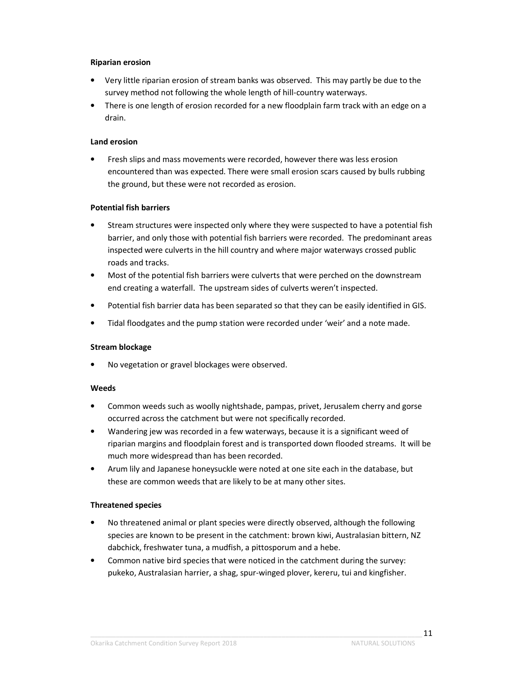#### **Riparian erosion**

- Very little riparian erosion of stream banks was observed. This may partly be due to the survey method not following the whole length of hill-country waterways.
- There is one length of erosion recorded for a new floodplain farm track with an edge on a drain.

### **Land erosion**

• Fresh slips and mass movements were recorded, however there was less erosion encountered than was expected. There were small erosion scars caused by bulls rubbing the ground, but these were not recorded as erosion.

### **Potential fish barriers**

- Stream structures were inspected only where they were suspected to have a potential fish barrier, and only those with potential fish barriers were recorded. The predominant areas inspected were culverts in the hill country and where major waterways crossed public roads and tracks.
- Most of the potential fish barriers were culverts that were perched on the downstream end creating a waterfall. The upstream sides of culverts weren't inspected.
- Potential fish barrier data has been separated so that they can be easily identified in GIS.
- Tidal floodgates and the pump station were recorded under 'weir' and a note made.

#### **Stream blockage**

• No vegetation or gravel blockages were observed.

#### **Weeds**

- Common weeds such as woolly nightshade, pampas, privet, Jerusalem cherry and gorse occurred across the catchment but were not specifically recorded.
- Wandering jew was recorded in a few waterways, because it is a significant weed of riparian margins and floodplain forest and is transported down flooded streams. It will be much more widespread than has been recorded.
- Arum lily and Japanese honeysuckle were noted at one site each in the database, but these are common weeds that are likely to be at many other sites.

### **Threatened species**

- No threatened animal or plant species were directly observed, although the following species are known to be present in the catchment: brown kiwi, Australasian bittern, NZ dabchick, freshwater tuna, a mudfish, a pittosporum and a hebe.
- Common native bird species that were noticed in the catchment during the survey: pukeko, Australasian harrier, a shag, spur-winged plover, kereru, tui and kingfisher.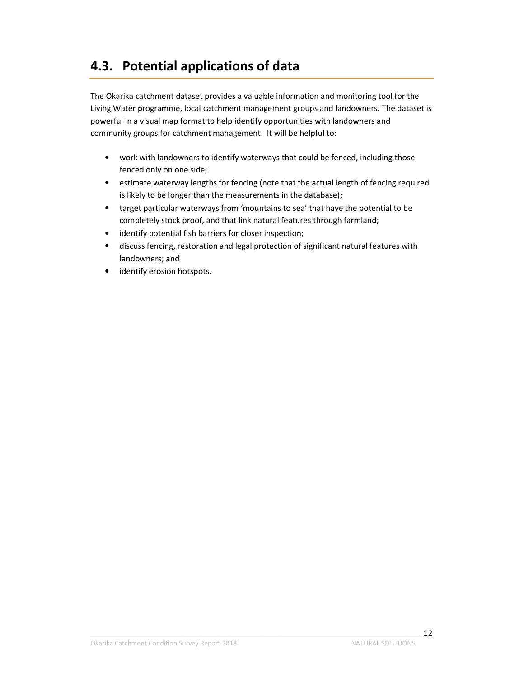# **4.3. Potential applications of data**

The Okarika catchment dataset provides a valuable information and monitoring tool for the Living Water programme, local catchment management groups and landowners. The dataset is powerful in a visual map format to help identify opportunities with landowners and community groups for catchment management. It will be helpful to:

- work with landowners to identify waterways that could be fenced, including those fenced only on one side;
- estimate waterway lengths for fencing (note that the actual length of fencing required is likely to be longer than the measurements in the database);
- target particular waterways from 'mountains to sea' that have the potential to be completely stock proof, and that link natural features through farmland;
- identify potential fish barriers for closer inspection;
- discuss fencing, restoration and legal protection of significant natural features with landowners; and
- identify erosion hotspots.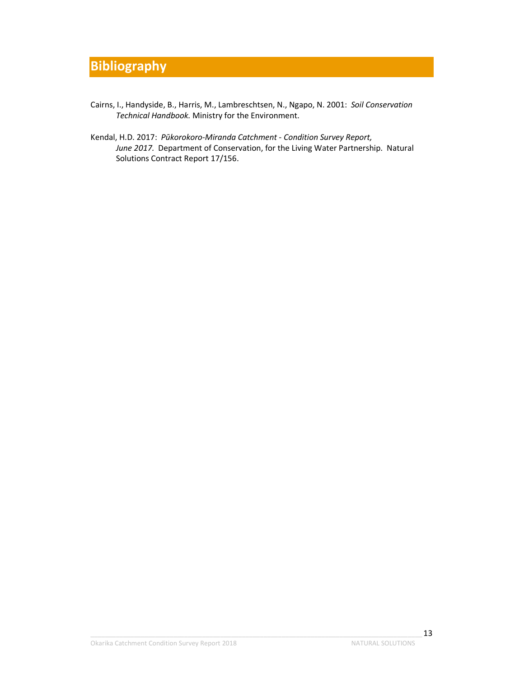# **Bibliography**

- Cairns, I., Handyside, B., Harris, M., Lambreschtsen, N., Ngapo, N. 2001: *Soil Conservation Technical Handbook.* Ministry for the Environment.
- Kendal, H.D. 2017: *Pūkorokoro-Miranda Catchment Condition Survey Report, June 2017.* Department of Conservation, for the Living Water Partnership. Natural Solutions Contract Report 17/156.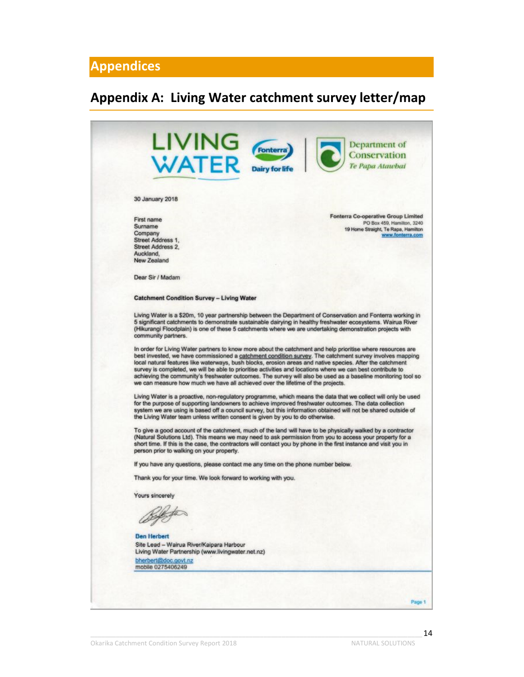### **Appendices**

## **Appendix A: Living Water catchment survey letter/map**